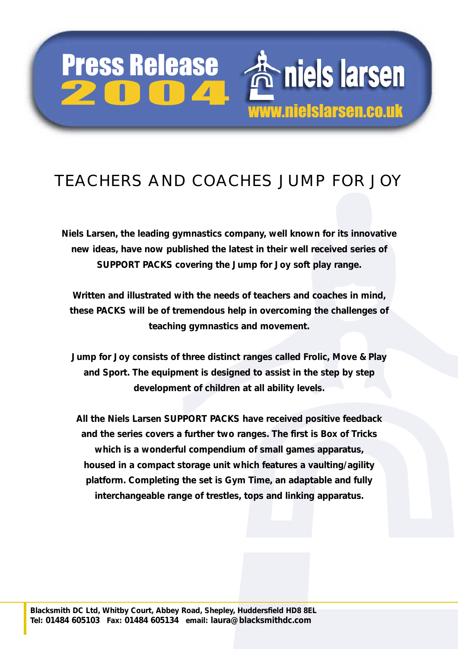## Press Release Press Release

niels larsen www.nielslarsen.co.uk

## TEACHERS AND COACHES JUMP FOR JOY

**Niels Larsen, the leading gymnastics company, well known for its innovative new ideas, have now published the latest in their well received series of SUPPORT PACKS covering the Jump for Joy soft play range.** 

**Written and illustrated with the needs of teachers and coaches in mind, these PACKS will be of tremendous help in overcoming the challenges of teaching gymnastics and movement.** 

**Jump for Joy consists of three distinct ranges called Frolic, Move & Play and Sport. The equipment is designed to assist in the step by step development of children at all ability levels.** 

**All the Niels Larsen SUPPORT PACKS have received positive feedback and the series covers a further two ranges. The first is Box of Tricks which is a wonderful compendium of small games apparatus, housed in a compact storage unit which features a vaulting/agility platform. Completing the set is Gym Time, an adaptable and fully interchangeable range of trestles, tops and linking apparatus.**